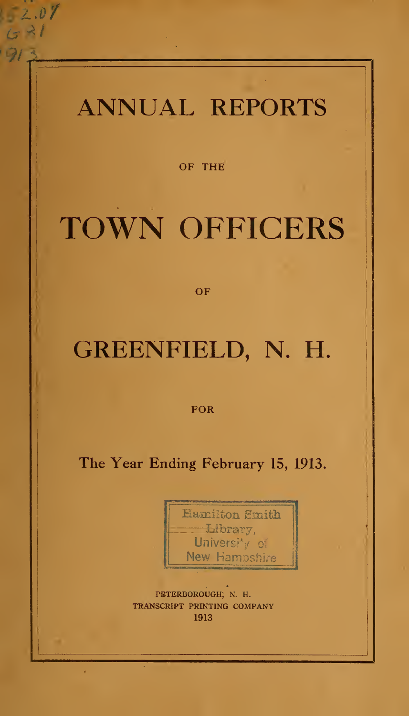# ANNUAL REPORTS

 $2.07$ 

 $913$ 

OF THE

# TOWN OFFICERS

OF

## GREENFIELD, N. H

FOR

The Year Ending February 15, 1913.

Hamilton Smith **Library**, University of New Hamoshire

PETERBOROUGH; N. H. TRANSCRIPT PRINTING COMPANY 1913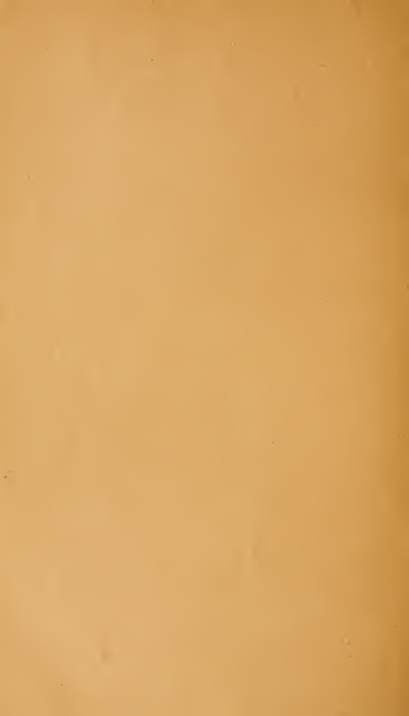×

 $\mathcal{A}_{\mathcal{A}}$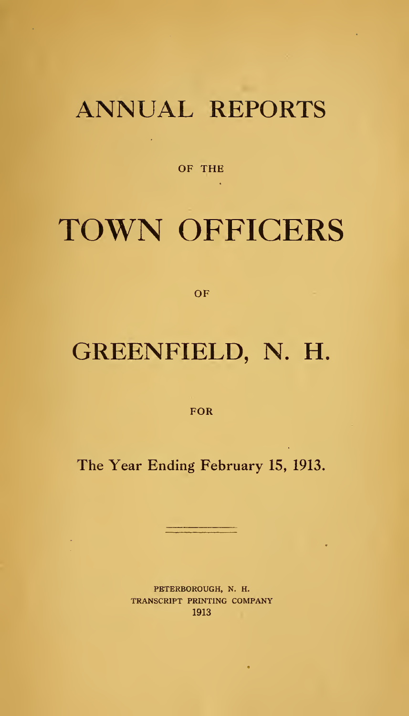# ANNUAL REPORTS

OF THE

 $\sim$   $\sim$ 

# TOWN OFFICERS

OF

## GREENFIELD, N. H.

FOR

The Year Ending February 15, 1913.

PETERBOROUGH, N. H. TRANSCRIPT PRINTING COMPANY 1913

 $\bullet$ 

 $\bar{\mathbf{v}}$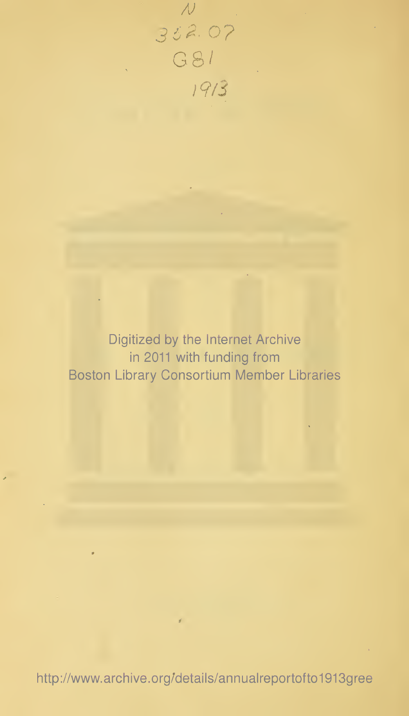$\lambda$ ) 352.07<br>G81<br>1913

Digitized by the Internet Archive in 2011 with funding from **Boston Library Consortium Member Libraries** 

http://www.archive.org/details/annualreportofto1913gree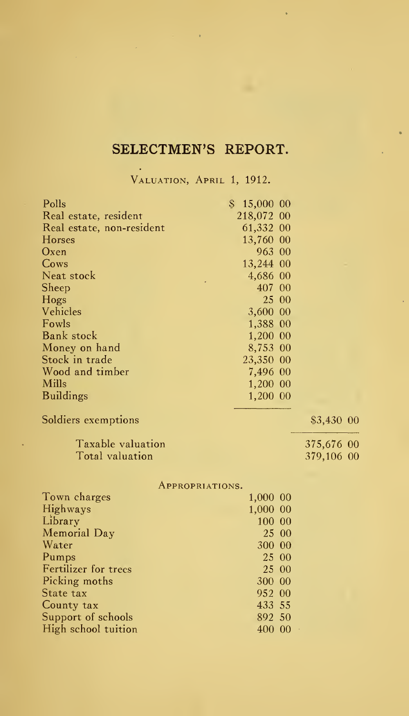### SELECTMEN'S REPORT.

VALUATION, APRIL 1, 1912.

| Polls                     | 15,000 00<br>$\mathbb{S}$ |            |
|---------------------------|---------------------------|------------|
| Real estate, resident     | 218,072 00                |            |
| Real estate, non-resident | 61,332 00                 |            |
| Horses                    | 13,760 00                 |            |
| Oxen                      | 963 00                    |            |
| Cows                      | 13,244 00                 |            |
| Neat stock                | 4,686 00                  |            |
| Sheep                     | 407 00                    |            |
| Hogs                      | 25 00                     |            |
| Vehicles                  | 3,600 00                  |            |
| Fowls                     | 1,388 00                  |            |
| <b>Bank</b> stock         | 1,200 00                  |            |
| Money on hand             | 8,753 00                  |            |
| Stock in trade            | 23,350 00                 |            |
| Wood and timber           | 7,496 00                  |            |
| Mills                     | 1,200 00                  |            |
| <b>Buildings</b>          | 1,200 00                  |            |
| Soldiers exemptions       |                           | \$3,430 00 |
| Taxable valuation         |                           | 375,676 00 |
| Total valuation           |                           | 379,106 00 |
|                           | APPROPRIATIONS.           |            |
| Town charges              | 1,000 00                  |            |
| Highways                  | 1,000 00                  |            |
| Library                   | 100 00                    |            |
| Memorial Day              | 25 00                     |            |
| Water                     | 300 00                    |            |
| Pumps                     | 25 00                     |            |
| Fertilizer for trees      | 25 00                     |            |
| Picking moths             | 300 00                    |            |
| State tax                 | 952 00                    |            |
| County tax                | 433 55                    |            |
| Support of schools        | 892 50                    |            |
| High school tuition       | 400 00                    |            |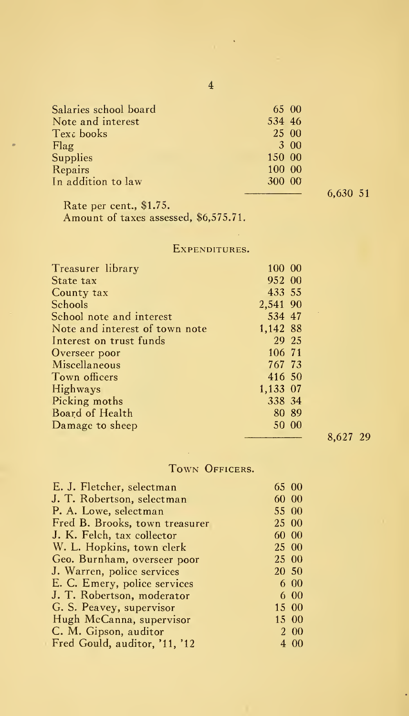| Salaries school board | 65 00  |
|-----------------------|--------|
| Note and interest     | 534 46 |
| Text books            | 25 00  |
| Flag                  | 3 00   |
| <b>Supplies</b>       | 150 00 |
| Repairs               | 100 00 |
| In addition to law    | 300 00 |
|                       |        |

6,630 51

Rate per cent., \$1.75. Amount of taxes assessed, \$6,575.71.

#### Expenditures.

| Treasurer library              | 100 00   |
|--------------------------------|----------|
| State tax                      | 952 00   |
| County tax                     | 433 55   |
| Schools                        | 2,541 90 |
| School note and interest       | 534 47   |
| Note and interest of town note | 1,142 88 |
| Interest on trust funds        | 29 25    |
| Overseer poor                  | 106 71   |
| Miscellaneous                  | 767 73   |
| Town officers                  | 416 50   |
| Highways                       | 1,133 07 |
| Picking moths                  | 338 34   |
| Board of Health                | 80 89    |
| Damage to sheep                | 50 00    |
|                                |          |

8,627 29

#### TOWN OFFICERS.

| E. J. Fletcher, selectman      | 65 00 |
|--------------------------------|-------|
| J. T. Robertson, selectman     | 60 00 |
| P. A. Lowe, selectman          | 55 00 |
| Fred B. Brooks, town treasurer | 25 00 |
| J. K. Felch, tax collector     | 60 00 |
| W. L. Hopkins, town clerk      | 25 00 |
| Geo. Burnham, overseer poor    | 25 00 |
| J. Warren, police services     | 20 50 |
| E. C. Emery, police services   | 6 00  |
| J. T. Robertson, moderator     | 6 00  |
| G. S. Peavey, supervisor       | 15 00 |
| Hugh McCanna, supervisor       | 15 00 |
| C. M. Gipson, auditor          | 2 00  |
| Fred Gould, auditor, '11, '12  | 4 00  |
|                                |       |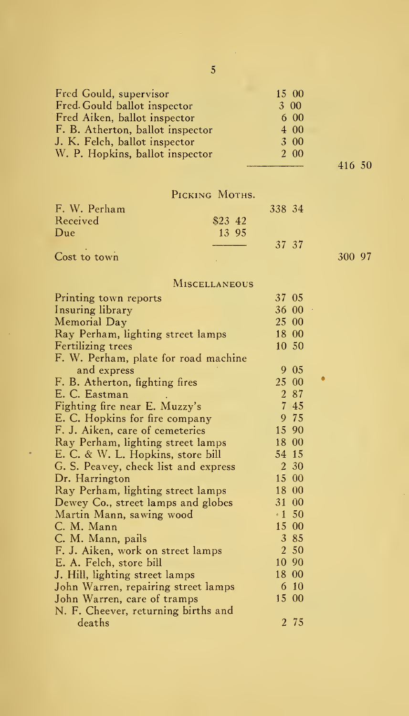| Fred Gould, supervisor           | 15 00 |
|----------------------------------|-------|
| Fred Gould ballot inspector      | 3 00  |
| Fred Aiken, ballot inspector     | 6 00  |
| F. B. Atherton, ballot inspector | 4 0 0 |
| J. K. Felch, ballot inspector    | 300   |
| W. P. Hopkins, ballot inspector  | 2 00  |
|                                  |       |

300 97

|              | PICKING MOTHS. |        |
|--------------|----------------|--------|
| F. W. Perham |                | 338 34 |
| Received     | $$23\;42$      |        |
| Due          | 13 95          |        |
|              |                | 37 37  |
| Cost to town |                |        |

**MISCELLANEOUS** 

| Printing town reports                | 37 05             |           |
|--------------------------------------|-------------------|-----------|
| Insuring library                     | 36 00             |           |
| Memorial Day                         | 25 00             |           |
| Ray Perham, lighting street lamps    | 18 00             |           |
| Fertilizing trees                    | 10 50             |           |
| F. W. Perham, plate for road machine |                   |           |
| and express                          | 9 05              |           |
| F. B. Atherton, fighting fires       | 25 00             | $\bullet$ |
| E. C. Eastman                        | 2 87              |           |
| Fighting fire near E. Muzzy's        | 7 45              |           |
| E. C. Hopkins for fire company       | 9 75              |           |
| F. J. Aiken, care of cemeteries      | 15 90             |           |
| Ray Perham, lighting street lamps    | 18 00             |           |
| E. C. & W. L. Hopkins, store bill    | 54 15             |           |
| G. S. Peavey, check list and express | 2 30              |           |
| Dr. Harrington                       | 15 00             |           |
| Ray Perham, lighting street lamps    | 18 00             |           |
| Dewey Co., street lamps and globes   | 31 00             |           |
| Martin Mann, sawing wood             | $\cdot 1 \;\; 50$ |           |
| C. M. Mann                           | 15 00             |           |
| C. M. Mann, pails                    | 3 85              |           |
| F. J. Aiken, work on street lamps    | 2 50              |           |
| E. A. Felch, store bill              | 10 90             |           |
| J. Hill, lighting street lamps       | 18 00             |           |
| John Warren, repairing street lamps  | 6 10              |           |
| John Warren, care of tramps          | 15 00             |           |
| N. F. Cheever, returning births and  |                   |           |
| deaths                               | 2 75              |           |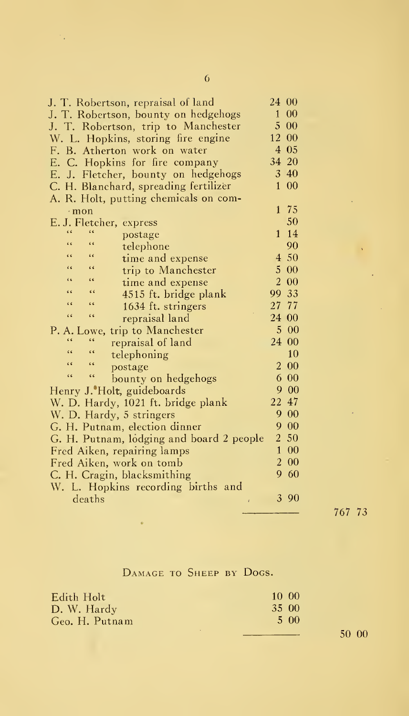| J. T. Robertson, repraisal of land       | 24 00 |          |  |
|------------------------------------------|-------|----------|--|
| J. T. Robertson, bounty on hedgehogs     |       | $1 \ 00$ |  |
| J. T. Robertson, trip to Manchester      |       | 5 00     |  |
| W. L. Hopkins, storing fire engine       |       | 12 00    |  |
| F. B. Atherton work on water             |       | 4 05     |  |
| E. C. Hopkins for fire company           | 34 20 |          |  |
| E. J. Fletcher, bounty on hedgehogs      |       | 3 40     |  |
| C. H. Blanchard, spreading fertilizer    |       | 1 00     |  |
| A. R. Holt, putting chemicals on com-    |       |          |  |
| $\cdot$ mon                              |       | 1 75     |  |
| E. J. Fletcher, express                  |       | 50       |  |
| $\epsilon$<br>66<br>postage              |       | 1 14     |  |
| $\epsilon$<br>$\epsilon$<br>telephone    |       | 90       |  |
| 66<br>66<br>time and expense             |       | 4 50     |  |
| 66<br>66<br>trip to Manchester           |       | $5\,00$  |  |
| $\overline{6}$<br>66<br>time and expense |       | 2 00     |  |
| 66<br>66<br>4515 ft. bridge plank        | 99 33 |          |  |
| $\epsilon$<br>66<br>1634 ft. stringers   | 27 77 |          |  |
| 66<br>66<br>repraisal land               |       | 24 00    |  |
| trip to Manchester<br>P. A. Lowe.        |       | 5 00     |  |
| $\epsilon$<br>66<br>repraisal of land    |       | 24 00    |  |
| $\epsilon$<br>66<br>telephoning          |       | 10       |  |
| 66<br>66<br>postage                      |       | 2 00     |  |
| $\epsilon$<br>66<br>bounty on hedgehogs  |       | 6 00     |  |
| Henry J. Holt, guideboards               |       | 9 00     |  |
| W. D. Hardy, 1021 ft. bridge plank       |       | 22 47    |  |
| W. D. Hardy, 5 stringers                 |       | 9 00     |  |
| G. H. Putnam, election dinner            |       | 9 00     |  |
| G. H. Putnam, lodging and board 2 people |       | 2 50     |  |
| Fred Aiken, repairing lamps              |       | $1\ 00$  |  |
| Fred Aiken, work on tomb                 |       | 2 00     |  |
| C. H. Cragin, blacksmithing              |       | 9 60     |  |
| W. L. Hopkins recording births and       |       |          |  |
| deaths                                   |       | 3 90     |  |
|                                          |       |          |  |

 $\Delta \phi$ 

k,

#### DAMAGE TO SHEEP BY DOGS.

| Edith Holt     |       | 10 00 |
|----------------|-------|-------|
| D. W. Hardy    | 35 00 |       |
| Geo. H. Putnam |       | 5 00  |
|                |       |       |

 $\hat{\mathbf{e}}$ 

50 00

 $\mathcal{O}_{\mathbf{z}}(\mathbb{R}^n)$  .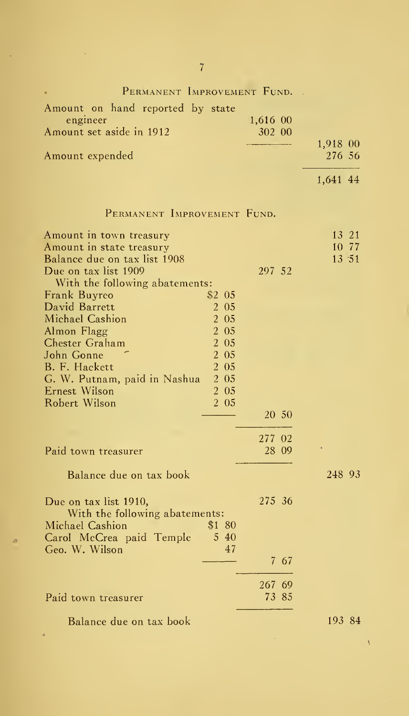| PERMANENT IMPROVEMENT FUND.                                                                                                                                                                                                                                        |                    |       |                         |
|--------------------------------------------------------------------------------------------------------------------------------------------------------------------------------------------------------------------------------------------------------------------|--------------------|-------|-------------------------|
| Amount on hand reported by state                                                                                                                                                                                                                                   |                    |       |                         |
| engineer<br>Amount set aside in 1912                                                                                                                                                                                                                               | 1,616 00<br>302 00 |       |                         |
| Amount expended                                                                                                                                                                                                                                                    |                    |       | 1,918 00<br>276 56      |
|                                                                                                                                                                                                                                                                    |                    |       | 1,641 44                |
| PERMANENT IMPROVEMENT FUND.                                                                                                                                                                                                                                        |                    |       |                         |
| Amount in town treasury<br>Amount in state treasury<br>Balance due on tax list 1908<br>Due on tax list 1909<br>With the following abatements:<br>\$2 05<br>Frank Buyreo                                                                                            | 297 52             |       | 13 21<br>10 77<br>13 51 |
| David Barrett<br>2 05<br>Michael Cashion<br>2 05<br>2 05<br>Almon Flagg<br>$2\overline{05}$<br>Chester Graham<br>2 05<br>John Gonne<br>2 05<br>B. F. Hackett<br>2 05<br>G. W. Putnam, paid in Nashua<br>Ernest Wilson<br>2 05<br>Robert Wilson<br>$2\overline{05}$ |                    | 20 50 |                         |
| Paid town treasurer                                                                                                                                                                                                                                                | 277 02             | 28 09 |                         |
| Balance due on tax book                                                                                                                                                                                                                                            |                    |       | 248 93                  |
| Due on tax list 1910,<br>With the following abatements:<br>Michael Cashion<br>\$180<br>540<br>Carol McCrea paid Temple<br>Geo. W. Wilson<br>47                                                                                                                     | 275 36             | 7 67  |                         |
| Paid town treasurer                                                                                                                                                                                                                                                | 267 69             | 7385  |                         |
| Balance due on tax book                                                                                                                                                                                                                                            |                    |       | 193 84                  |

 $\bar{\bar{a}}$ 

 $\overline{7}$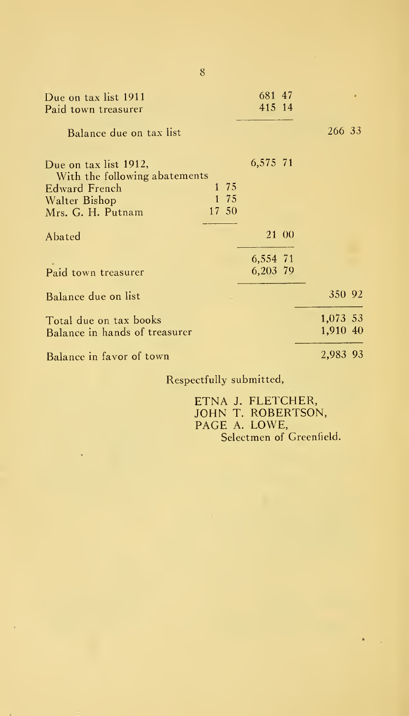| Due on tax list 1911<br>Paid town treasurer                                                                          |                       | 681 47<br>415 14     |       |                      |  |
|----------------------------------------------------------------------------------------------------------------------|-----------------------|----------------------|-------|----------------------|--|
| Balance due on tax list                                                                                              |                       |                      |       | 266 33               |  |
| Due on tax list 1912,<br>With the following abatements<br><b>Edward French</b><br>Walter Bishop<br>Mrs. G. H. Putnam | 1 75<br>1 75<br>17 50 | 6,575 71             |       |                      |  |
| Abated                                                                                                               |                       |                      | 21 00 |                      |  |
| Paid town treasurer                                                                                                  |                       | 6,554 71<br>6,203 79 |       |                      |  |
| Balance due on list                                                                                                  |                       |                      |       | 350 92               |  |
| Total due on tax books<br>Balance in hands of treasurer                                                              |                       |                      |       | 1,073 53<br>1,910 40 |  |
| Balance in favor of town                                                                                             |                       |                      |       | 2,983 93             |  |

Respectfully submitted.

ETNA J. FLETCHER, JOHN T. ROBERTSON, PAGE A. LOWE, Selectmen of Greenfield.

 $\bar{8}$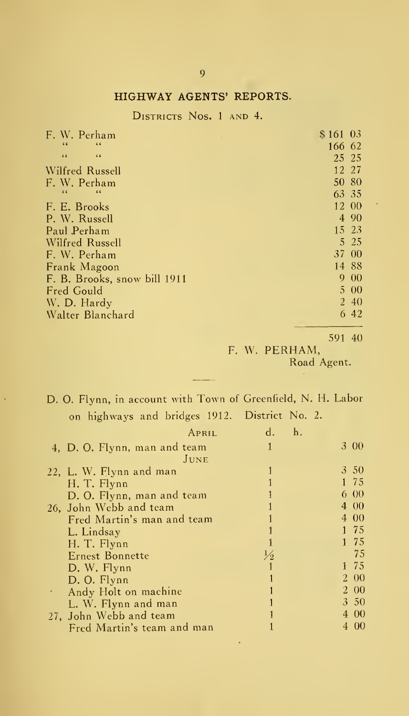#### HIGHWAY AGENTS' REPORTS.

DISTRICTS Nos. 1 AND 4.

| F. W. Perham                 | \$161 03 |
|------------------------------|----------|
| 66<br>66                     | 166 62   |
| 66<br>66                     | 25 25    |
| Wilfred Russell              | 12 27    |
| F. W. Perham                 | 50 80    |
| 66<br>66                     | 63 35    |
| F. E. Brooks                 | 12 00    |
| P. W. Russell                | 4 9 0    |
| Paul Perham                  | 15 23    |
| Wilfred Russell              | 525      |
| F. W. Perham                 | 37 00    |
| Frank Magoon                 | 14 88    |
| F. B. Brooks, snow bill 1911 | 900      |
| <b>Fred Gould</b>            | 5 00     |
| W. D. Hardy                  | 2 40     |
| Walter Blanchard             | 6 42     |
|                              | 591      |

F. W. PERHAM,

Road Agent.

D. 0. Flynn, in account with Town of Greenfield, N. H. Labor on highways and bridges 1912. District No. 2.

| <b>APRIL</b>                        | $d_{\tau}$    | h. |           |
|-------------------------------------|---------------|----|-----------|
| 4, D.O. Flynn, man and team<br>JUNE | 1             |    | 3 00      |
| 22, L. W. Flynn and man             |               |    | 3, 50     |
| H. T. Flynn                         |               |    | 1 75      |
| D. O. Flynn, man and team           |               |    | 600       |
| 26, John Webb and team              |               |    | $4 \, 00$ |
| Fred Martin's man and team          |               |    | 4 0 0     |
| L. Lindsay                          |               |    | 1 75      |
| H. T. Flynn                         |               |    | 1 75      |
| <b>Ernest Bonnette</b>              | $\frac{1}{2}$ |    | 75        |
| D. W. Flynn                         |               |    | 1 75      |
| D. O. Flynn                         |               |    | 2 00      |
| Andy Holt on machine                |               |    | 2 00      |
| L. W. Flynn and man                 |               |    | 3, 50     |
| 27. John Webb and team              |               |    | 4 00      |
| Fred Martin's team and man          |               |    | $\Omega$  |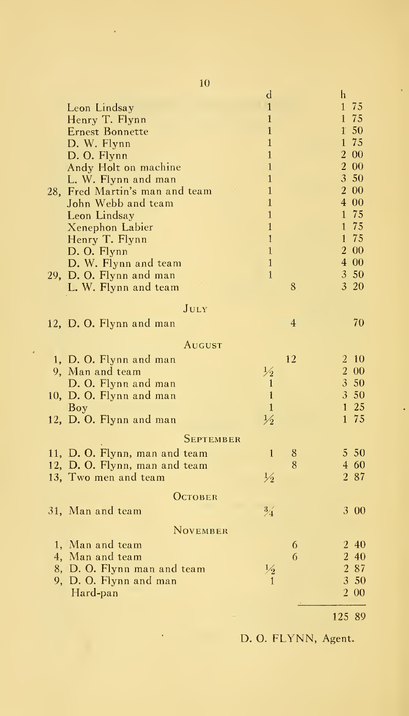|                                | $\mathbf d$    |    | $\mathbf{h}$     |      |
|--------------------------------|----------------|----|------------------|------|
| Leon Lindsay                   | $\mathbf{1}$   |    | 1 75             |      |
| Henry T. Flynn                 | $\mathbf{1}$   |    | 1 75             |      |
| <b>Ernest Bonnette</b>         | $\mathbf{1}$   |    | $1\,50$          |      |
| D. W. Flynn                    | $\mathbf{1}$   |    | 1 75             |      |
| D. O. Flynn                    | $\mathbf{1}$   |    | 2 00             |      |
| Andy Holt on machine           | $\mathbf{1}$   |    | 2 00             |      |
| L. W. Flynn and man            | $\mathbf{1}$   |    | 3 50             |      |
| 28. Fred Martin's man and team | 1              |    | 2 00             |      |
| John Webb and team             | $\mathbf{1}$   |    | 4 00             |      |
| Leon Lindsay                   | $\mathbf{1}$   |    | 1 75             |      |
| Xenephon Labier                | $\overline{1}$ |    | 1 75             |      |
| Henry T. Flynn                 | $\mathbf{1}$   |    | 1 75             |      |
| D. O. Flynn                    | $\mathbf{1}$   |    | 2 00             |      |
| D. W. Flynn and team           | $\mathbf{1}$   |    | 4 00             |      |
| 29, D.O. Flynn and man         | $\mathbf{1}$   |    | 3 50             |      |
| L. W. Flynn and team           |                | 8  | 320              |      |
|                                |                |    |                  |      |
| JULY                           |                |    |                  |      |
| 12, D.O. Flynn and man         |                | 4  |                  | 70   |
|                                |                |    |                  |      |
| August                         |                |    |                  |      |
| 1, D. O. Flynn and man         |                | 12 | 2 <sub>10</sub>  |      |
| 9, Man and team                | $\frac{1}{2}$  |    | 2 00             |      |
| D. O. Flynn and man            | $\frac{1}{1}$  |    | 3 50             |      |
| 10, D. O. Flynn and man        |                |    | 3 50             |      |
| Boy                            | $\overline{1}$ |    | 125              |      |
| 12, D.O. Flynn and man         | $\frac{1}{2}$  |    | 1 75             |      |
| SEPTEMBER                      |                |    |                  |      |
| 11, D.O. Flynn, man and team   | $\mathbf{1}$   | 8  | 5 50             |      |
| 12, D.O. Flynn, man and team   |                | 8  | $4\overline{60}$ |      |
| 13, Two men and team           | $\frac{1}{2}$  |    | 2 87             |      |
|                                |                |    |                  |      |
| <b>OCTOBER</b>                 |                |    |                  |      |
| 31, Man and team               | $\frac{3}{4}$  |    | 3 00             |      |
| NOVEMBER                       |                |    |                  |      |
|                                |                |    |                  |      |
| 1, Man and team                |                | 6  | $2\overline{40}$ |      |
| 4, Man and team                |                | 6  | 2 40             |      |
| 8, D. O. Flynn man and team    | $\frac{1}{2}$  |    | 2 87             |      |
| 9, D.O. Flynn and man          |                |    |                  | 3 50 |
| Hard-pan                       |                |    | 2 00             |      |
|                                |                |    | 125 89           |      |

l,

D. O. FLYNN, Agent.

10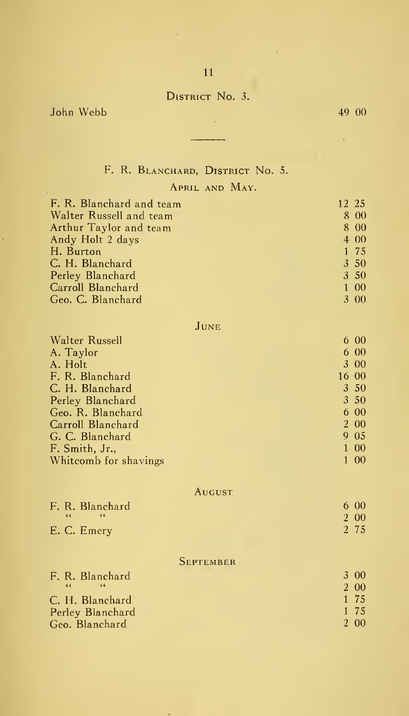#### DISTRICT No. 3.

John Webb 49 00

 $\mathcal{L}^{\text{max}}$ 

#### F. R. BLANCHARD, DISTRICT No. 5.

#### April and May.

| 12 25 |
|-------|
| 8 0 0 |
| 8 0 0 |
| 4 0 0 |
| 1 75  |
| 3 50  |
| 3 50  |
| 1 00  |
| 3 00  |
|       |

#### **JUNE**

| Walter Russell        | 6 00  |
|-----------------------|-------|
| A. Taylor             | 6 00  |
| A. Holt               | 3 00  |
| F. R. Blanchard       | 16 00 |
| C. H. Blanchard       | 3 50  |
| Perley Blanchard      | 3 50  |
| Geo. R. Blanchard     | 6 00  |
| Carroll Blanchard     | 2 0 0 |
| G. C. Blanchard       | 9 05  |
| F. Smith, Jr.,        | 1 00  |
| Whitcomb for shavings | 1 00  |
|                       |       |

#### August

|  | F. R. Blanchard | 6 00 |
|--|-----------------|------|
|  |                 | 2 00 |
|  | E. C. Emery     | 2 75 |

#### **SEPTEMBER**

| F. R. Blanchard  | 3 00 |
|------------------|------|
| 66<br>66         | 2 00 |
| C. H. Blanchard  | 1 75 |
| Perley Blanchard | 1 75 |
| Geo. Blanchard   | 2 00 |
|                  |      |

 $\epsilon$ 

k,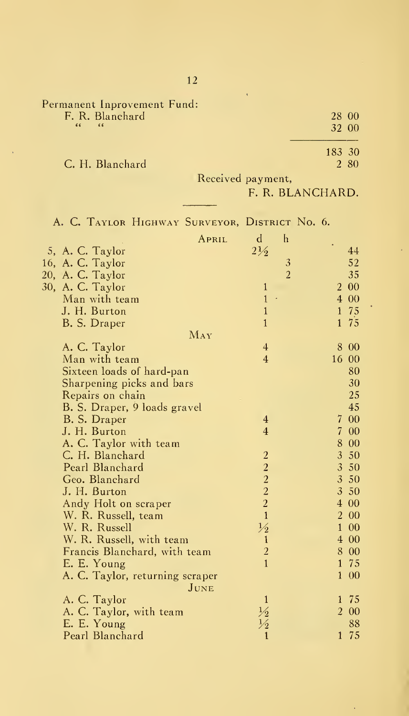| Permanent Inprovement Fund: |                   |
|-----------------------------|-------------------|
| F. R. Blanchard             | 28 00             |
| $\frac{1}{2}$               | 32 00             |
|                             | 183 30            |
| C. H. Blanchard             | 2 80              |
|                             | Received payment, |
|                             | F. R. BLANCHARD.  |

A. C. Taylor Highway Surveyor, District No. 6.

| APRIL                           | $\mathbf d$<br>h                                |                |      |
|---------------------------------|-------------------------------------------------|----------------|------|
| 5, A. C. Taylor                 | $2\frac{1}{2}$                                  |                | 44   |
| 16, A. C. Taylor                |                                                 | 3              | 52   |
| 20, A. C. Taylor                |                                                 | $\overline{2}$ | 35   |
| 30, A. C. Taylor                | $\mathbf{1}$                                    | 2 00           |      |
| Man with team                   | $\mathbf{1}$<br>l,                              | 4 00           |      |
| J. H. Burton                    | $\mathbf{1}$                                    |                | 1 75 |
| B. S. Draper                    | $\overline{1}$                                  | $\mathbf{1}$   | 75   |
| MAY                             |                                                 |                |      |
| A. C. Taylor                    | $\overline{4}$                                  | 8 0 0          |      |
| Man with team                   | $\overline{4}$                                  | 16 00          |      |
| Sixteen loads of hard-pan       |                                                 |                | 80   |
| Sharpening picks and bars       |                                                 |                | 30   |
| Repairs on chain                |                                                 |                | 25   |
| B. S. Draper, 9 loads gravel    |                                                 |                | 45   |
| B. S. Draper                    | $\overline{4}$                                  | 7 00           |      |
| J. H. Burton                    | $\overline{4}$                                  | 7 00           |      |
| A. C. Taylor with team          |                                                 | 8 00           |      |
| C. H. Blanchard                 | $\overline{c}$                                  | 3, 50          |      |
| Pearl Blanchard                 |                                                 | 350            |      |
| Geo. Blanchard                  |                                                 | 3 50           |      |
| J. H. Burton                    | $\begin{array}{c} 2 \\ 2 \\ 2 \\ 1 \end{array}$ | 350            |      |
| Andy Holt on scraper            |                                                 | 4 00           |      |
| W. R. Russell, team             |                                                 |                | 2 00 |
| W. R. Russell                   | $\frac{1}{2}$                                   |                | 1 00 |
| W. R. Russell, with team        | $\mathbf{1}$                                    | 4 00           |      |
| Francis Blanchard, with team    | $\sqrt{2}$                                      | 8 0 0          |      |
| E. E. Young                     | $\mathbf{1}$                                    | $\mathbf{1}$   | 75   |
| A. C. Taylor, returning scraper |                                                 |                | 1 00 |
| JUNE                            |                                                 |                |      |
| A. C. Taylor                    | $\mathbf{1}$                                    |                | 1 75 |
| A. C. Taylor, with team         |                                                 |                | 2 00 |
| E. E. Young                     |                                                 |                | 88   |
| Pearl Blanchard                 | $\mathbf{1}$                                    |                | 1 75 |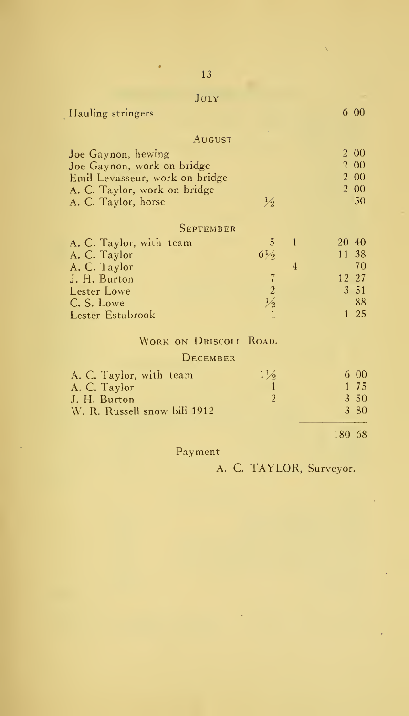| July |  |
|------|--|
|------|--|

| Hauling stringers              |                                              |                |        | 6 00 |
|--------------------------------|----------------------------------------------|----------------|--------|------|
| August                         |                                              |                |        |      |
| Joe Gaynon, hewing             |                                              |                |        | 2 00 |
| Joe Gaynon, work on bridge     |                                              |                |        | 2 00 |
| Emil Levasseur, work on bridge |                                              |                |        | 2 00 |
| A. C. Taylor, work on bridge   |                                              |                |        | 2 00 |
| A. C. Taylor, horse            | $\frac{1}{2}$                                |                |        | 50   |
| <b>SEPTEMBER</b>               |                                              |                |        |      |
| A. C. Taylor, with team        | 5                                            | $\mathbf{1}$   | 20 40  |      |
| A. C. Taylor                   | $6\frac{1}{2}$                               |                | 11 38  |      |
| A. C. Taylor                   |                                              | $\overline{4}$ |        | 70   |
| J. H. Burton                   |                                              |                | 12 27  |      |
| Lester Lowe                    | $\begin{array}{c} 7 \\ 2 \\ 1/2 \end{array}$ |                |        | 351  |
| C. S. Lowe                     |                                              |                |        | 88   |
| Lester Estabrook               | 1                                            |                |        | 125  |
| WORK ON DRISCOLL ROAD.         |                                              |                |        |      |
| DECEMBER                       |                                              |                |        |      |
| A. C. Taylor, with team        | $1\frac{1}{2}$                               |                |        | 6 00 |
| A. C. Taylor                   | $\mathbf{1}$                                 |                |        | 1 75 |
| J. H. Burton                   | $\overline{2}$                               |                |        | 3 50 |
| W. R. Russell snow bill 1912   |                                              |                |        | 3 80 |
|                                |                                              |                | 180 68 |      |
| Payment                        |                                              |                |        |      |

A. C. TAYLOR, Surveyor.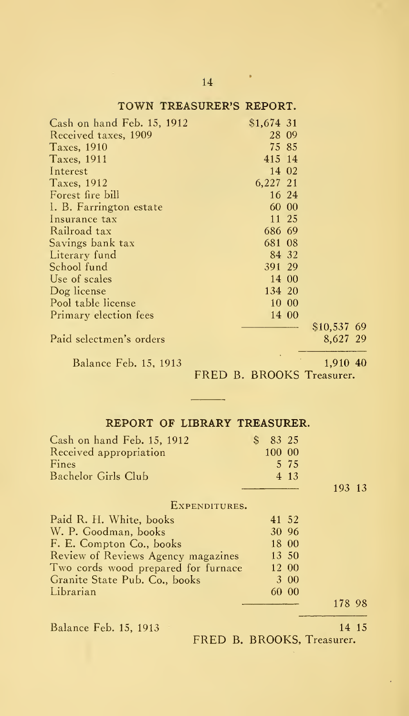| TOWN TREASURER'S REPORT.   |            |              |  |
|----------------------------|------------|--------------|--|
| Cash on hand Feb. 15, 1912 | \$1,674 31 |              |  |
| Received taxes, 1909       | 28 09      |              |  |
| Taxes, 1910                | 75 85      |              |  |
| Taxes, 1911                | 415 14     |              |  |
| Interest                   | 14 02      |              |  |
| Taxes, 1912                | 6,227 21   |              |  |
| Forest fire bill           | 16 24      |              |  |
| I. B. Farrington estate    | 60 00      |              |  |
| Insurance tax              | 11 25      |              |  |
| Railroad tax               | 686 69     |              |  |
| Savings bank tax           | 681 08     |              |  |
| Literary fund              | 84 32      |              |  |
| School fund                | 391 29     |              |  |
| Use of scales              | 14 00      |              |  |
| Dog license                | 134 20     |              |  |
| Pool table license         | 10 00      |              |  |
| Primary election fees      | 14 00      |              |  |
|                            |            | $$10,537$ 69 |  |
| Paid selectmen's orders    |            | 8,627 29     |  |
| Balance Feb. 15, 1913      |            | 1,910 40     |  |

FRED B. BROOKS Treasurer.

| 83 25<br>S.<br>100 00                        |        |
|----------------------------------------------|--------|
| 5 75                                         |        |
| 4 13                                         |        |
|                                              | 193 13 |
| EXPENDITURES.                                |        |
| 41 52                                        |        |
| 30 96                                        |        |
| 18 00                                        |        |
| 13 50                                        |        |
| Two cords wood prepared for furnace<br>12 00 |        |
| 3 00                                         |        |
| 60 00                                        |        |
|                                              | 178 98 |
|                                              |        |

REPORT OF LIBRARY TREASURER.

Balance Feb. 15, 1913 <sup>14</sup> 15<br>FRED B. BROOKS, Treasurer.

 $\sim$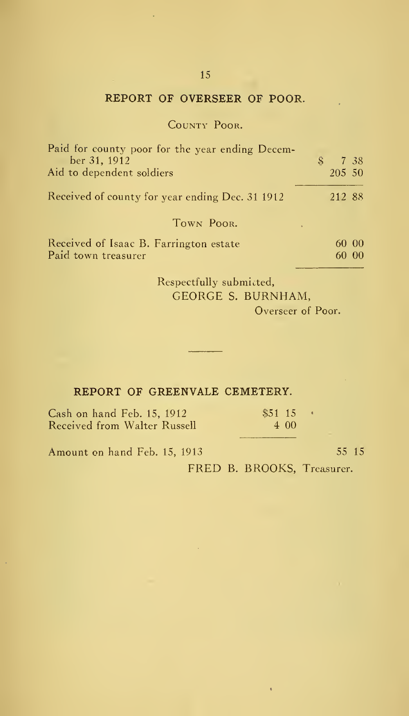#### REPORT OF OVERSEER OF POOR.

#### COUNTY POOR.

| Paid for county poor for the year ending Decem- |        |
|-------------------------------------------------|--------|
| ber 31, 1912                                    | 7 38   |
| Aid to dependent soldiers                       | 205 50 |
| Received of county for year ending Dec. 31 1912 | 212 88 |
| TOWN POOR.                                      |        |
| Received of Isaac B. Farrington estate          | 60 00  |
| Paid town treasurer                             | 60 00  |
|                                                 |        |

Respectfully submicted, GEORGE S. BURNHAM,

Overseer of Poor.

#### REPORT OF GREENVALE CEMETERY.

| Cash on hand Feb. 15, 1912   | $$51 \t15$ |  |
|------------------------------|------------|--|
| Received from Walter Russell | -4.00      |  |

Amount on hand Feb. 15, 1913 55 15

FRED B. BROOKS, Treasurer.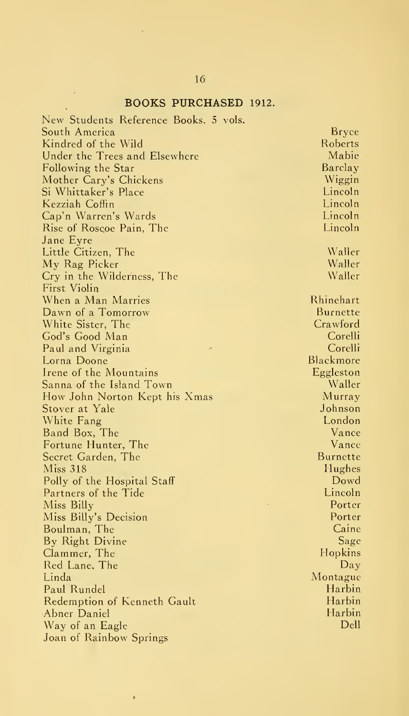#### BOOKS PURCHASED 1912.

 $\boldsymbol{\cdot}$ 

| New Students Reference Books, 5 vols. |                 |
|---------------------------------------|-----------------|
| South America                         | <b>Bryce</b>    |
| Kindred of the Wild                   | Roberts         |
| Under the Trees and Elsewhere         | Mabie           |
| Following the Star                    | Barclay         |
| Mother Cary's Chickens                | Wiggin          |
| Si Whittaker's Place                  | Lincoln         |
| Kezziah Coffin                        | Lincoln         |
| Cap'n Warren's Wards                  | Lincoln         |
| Rise of Roscoe Pain, The              | Lincoln         |
| <b>Jane Eyre</b>                      |                 |
| Little Citizen, The                   | Waller          |
| My Rag Picker                         | Waller          |
| Cry in the Wilderness, The            | Waller          |
| First Violin                          |                 |
| When a Man Marries                    | Rhinehart       |
| Dawn of a Tomorrow                    | Burnette        |
| White Sister, The                     | Crawford        |
| God's Good Man                        | Corelli         |
|                                       | Corelli         |
| Paul and Virginia                     | Blackmore       |
| Lorna Doone                           |                 |
| Irene of the Mountains                | Eggleston       |
| Sanna of the Island Town              | Waller          |
| How John Norton Kept his Xmas         | Murray          |
| Stover at Yale                        | Johnson         |
| White Fang                            | London          |
| Band Box, The                         | Vance           |
| Fortune Hunter, The                   | Vance           |
| Secret Garden, The                    | <b>Burnette</b> |
| Miss 318                              | Hughes          |
| Polly of the Hospital Staff           | Dowd            |
| Partners of the Tide                  | Lincoln         |
| Miss Billy                            | Porter          |
| Miss Billy's Decision                 | Porter          |
| Boulman, The                          | Caine           |
| By Right Divine                       | Sage            |
| Clammer, The                          | Hopkins         |
| Red Lane, The                         | Day             |
| Linda                                 | Montague        |
| Paul Rundel                           | Harbin          |
| <b>Redemption of Kenneth Gault</b>    | Harbin          |
| Abner Daniel                          | Harbin          |
| Way of an Eagle                       | Dell            |
| Joan of Rainbow Springs               |                 |

ò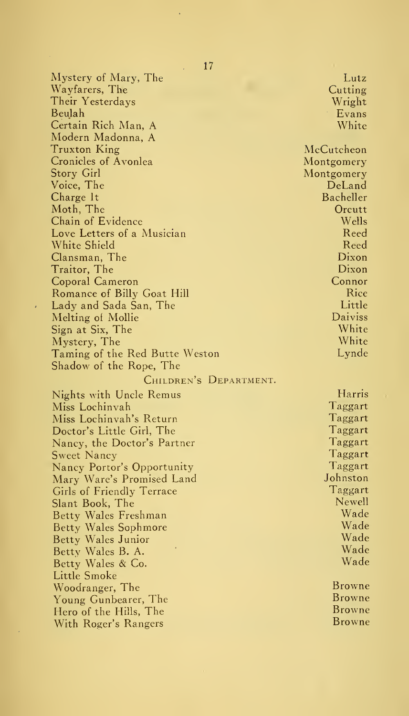| Mystery of Mary, The                           | Lutz                           |  |
|------------------------------------------------|--------------------------------|--|
| Wayfarers, The                                 | Cutting                        |  |
| Their Yesterdays                               | Wright                         |  |
| Beulah                                         | Evans                          |  |
| Certain Rich Man, A                            | White                          |  |
|                                                |                                |  |
| Modern Madonna, A                              |                                |  |
| Truxton King                                   | McCutcheon                     |  |
| <b>Cronicles of Avonlea</b>                    | Montgomery                     |  |
| Story Girl                                     | Montgomery                     |  |
| Voice, The                                     | DeLand                         |  |
|                                                | Bacheller                      |  |
| Charge It                                      |                                |  |
| Moth, The                                      | Orcutt                         |  |
| Chain of Evidence                              | Wells                          |  |
| Love Letters of a Musician                     | Reed                           |  |
| White Shield                                   | Reed                           |  |
| Clansman, The                                  | Dixon                          |  |
| Traitor, The                                   | Dixon                          |  |
|                                                |                                |  |
| Coporal Cameron                                | Connor                         |  |
| Romance of Billy Goat Hill                     | Rice                           |  |
| Lady and Sada San, The                         | Little                         |  |
| Melting of Mollie                              | Daiviss                        |  |
| Sign at Six, The                               | White                          |  |
|                                                | White                          |  |
| Mystery, The                                   |                                |  |
| Taming of the Red Butte Weston                 | Lynde                          |  |
|                                                |                                |  |
| Shadow of the Rope, The                        |                                |  |
| CHILDREN'S DEPARTMENT.                         |                                |  |
|                                                |                                |  |
| Nights with Uncle Remus                        | Harris                         |  |
| Miss Lochinvah                                 | Taggart                        |  |
| Miss Lochinvah's Return                        | Taggart                        |  |
|                                                |                                |  |
| Doctor's Little Girl, The                      | Taggart                        |  |
| Nancy, the Doctor's Partner                    | Taggart                        |  |
| Sweet Nancy                                    | Taggart                        |  |
| Nancy Portor's Opportunity                     | Taggart                        |  |
| Mary Ware's Promised Land                      | Johnston                       |  |
| Girls of Friendly Terrace                      | Taggart                        |  |
| Slant Book, The                                | Newell                         |  |
|                                                | Wade                           |  |
| Betty Wales Freshman                           | Wade                           |  |
| <b>Betty Wales Sophmore</b>                    |                                |  |
| Betty Wales Junior                             | Wade                           |  |
| Betty Wales B. A.                              | Wade                           |  |
| Betty Wales & Co.                              | Wade                           |  |
| Little Smoke                                   |                                |  |
| Woodranger, The                                | <b>Browne</b>                  |  |
|                                                | <b>Browne</b>                  |  |
| Young Gunbearer, The                           |                                |  |
| Hero of the Hills, The<br>With Roger's Rangers | <b>Browne</b><br><b>Browne</b> |  |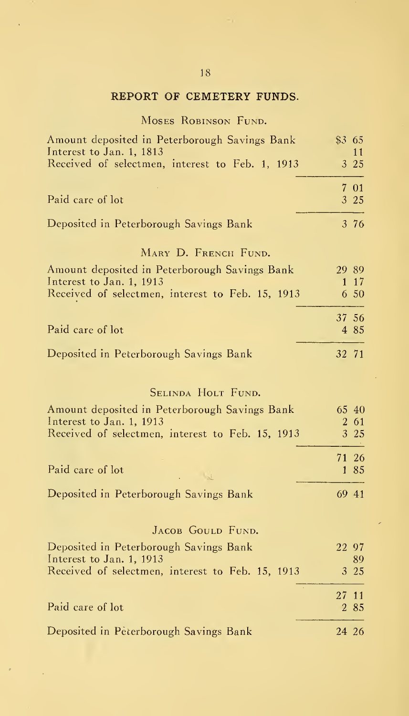#### REPORT OF CEMETERY FUNDS.

#### Moses Robinson Fund.

| \$365 | 11            |
|-------|---------------|
|       | 3 25          |
|       | 7 01          |
|       | 325           |
|       | 3 76          |
|       |               |
| 29 89 |               |
|       | 1 17          |
|       |               |
| 37 56 |               |
|       | 4 85          |
| 32 71 |               |
|       |               |
|       |               |
|       | 2 61          |
|       | 325           |
| 71 26 |               |
|       | 1 85          |
| 69 41 |               |
|       |               |
| 22 97 |               |
|       | 89            |
|       | 325           |
| 27 11 |               |
|       | 2 85          |
| 24 26 |               |
|       | 6 50<br>65 40 |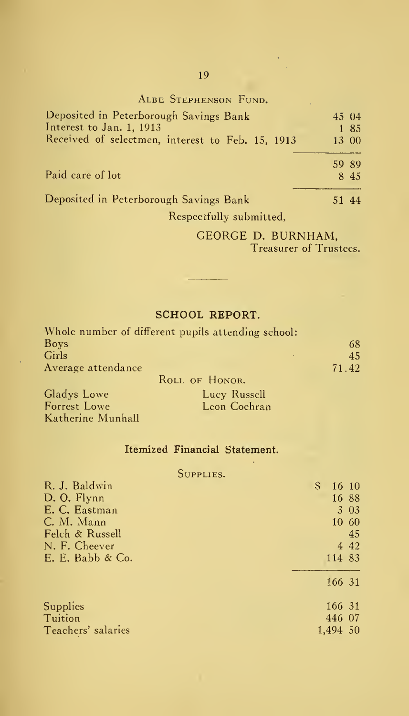#### Albe Stephenson Fund.

| Deposited in Peterborough Savings Bank<br>Interest to Jan. 1, 1913<br>Received of selectmen, interest to Feb. 15, 1913 | 45 04<br>1 85<br>13 00 |  |
|------------------------------------------------------------------------------------------------------------------------|------------------------|--|
| Paid care of lot                                                                                                       | 59 89<br>8 45          |  |
| Deposited in Peterborough Savings Bank                                                                                 | 51 44                  |  |

Respectfully submitted,

### GEORGE D. BURNHAM,

Treasurer of Trustees.

#### SCHOOL REPORT.

|                      | Whole number of different pupils attending school: |       |
|----------------------|----------------------------------------------------|-------|
| <b>Boys</b>          |                                                    | 68    |
| Girls                |                                                    | 45    |
| Average attendance   |                                                    | 71 42 |
|                      | ROLL OF HONOR.                                     |       |
| $\sim$ $\sim$ $\sim$ |                                                    |       |

Gladys Lowe Lucy Russell Forrest Lowe Leon Cochran Katherine Munhall

#### Itemized Financial Statement.

÷.

#### Supplies.

| R. J. Baldwin        | S<br>16 10 |
|----------------------|------------|
| D. O. Flynn          | 16 88      |
| E. C. Eastman        | 3 03       |
| C. M. Mann           | 10 60      |
| Felch & Russell      | 45         |
| N. F. Cheever        | 4 4 2      |
| $E. E.$ Babb & $Co.$ | 114 83     |
|                      | 166 31     |
| Supplies             | 166 31     |
| Tuition              | 446 07     |
| Teachers' salaries   | 1,494 50   |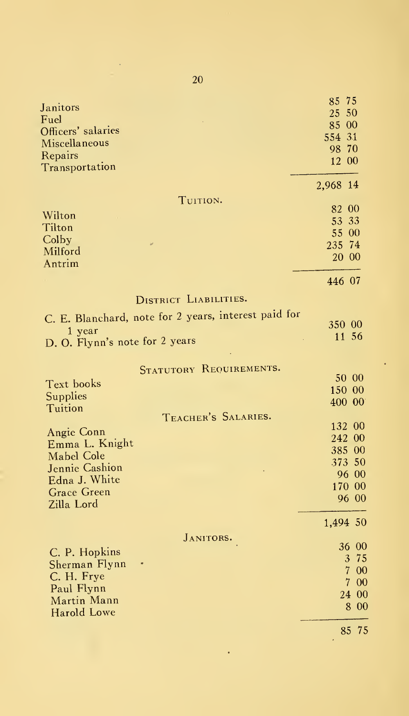| ZU                                                   |          |
|------------------------------------------------------|----------|
|                                                      | 85 75    |
| Janitors                                             | 25 50    |
| Fuel<br>Officers' salaries                           | 85 00    |
| Miscellaneous                                        | 554 31   |
|                                                      | 98 70    |
| Repairs<br>Transportation                            | 12 00    |
|                                                      |          |
|                                                      | 2,968 14 |
| TUITION.                                             |          |
| Wilton                                               | 82 00    |
| Tilton                                               | 53 33    |
|                                                      | 55 00    |
| Colby                                                | 235 74   |
| Milford                                              | 20 00    |
| Antrim                                               |          |
|                                                      | 446 07   |
| DISTRICT LIABILITIES.                                |          |
| C. E. Blanchard, note for 2 years, interest paid for |          |
|                                                      | 350 00   |
| 1 year<br>D. O. Flynn's note for 2 years             | 11 56    |
|                                                      |          |
| STATUTORY REQUIREMENTS.                              |          |
| Text books                                           | 50 00    |
| Supplies                                             | 150 00   |
| Tuition                                              | 400 00   |
| TEACHER'S SALARIES.                                  |          |
| Angie Conn                                           | 132 00   |
| Emma L. Knight                                       | 242 00   |
| Mabel Cole                                           | 385 00   |
| <b>Jennie Cashion</b>                                | 373 50   |
| Edna J. White                                        | 96 00    |
| <b>Grace Green</b>                                   | 170 00   |
| Zilla Lord                                           | 96 00    |
|                                                      |          |
|                                                      | 1,494 50 |
| JANITORS.                                            | 36 00    |
| C. P. Hopkins                                        |          |
| Sherman Flynn                                        | 3 75     |
| C. H. Frye                                           | 7 00     |
| Paul Flynn                                           | 7 00     |
| Martin Mann                                          | 24 00    |
| <b>Harold Lowe</b>                                   | 8 00     |
|                                                      | 85 75    |
|                                                      |          |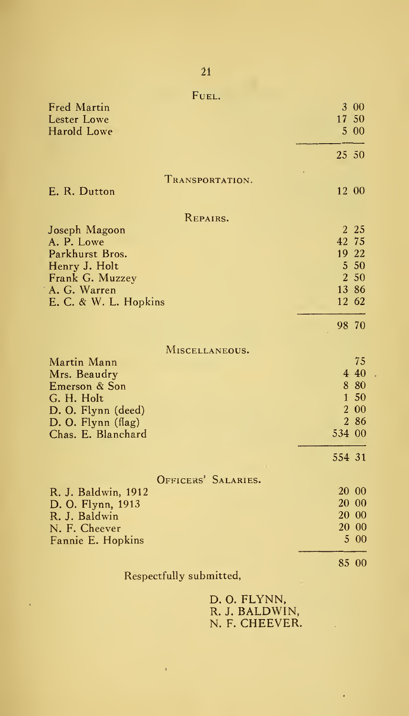| FUEL.                   |                  |
|-------------------------|------------------|
| Fred Martin             | 3 00             |
| Lester Lowe             | 17 50            |
| Harold Lowe             | 5 00             |
|                         | 25 50            |
| TRANSPORTATION.         |                  |
| E. R. Dutton            | 12 00            |
| REPAIRS.                |                  |
| Joseph Magoon           | 2 25             |
| A. P. Lowe              | 42 75            |
| Parkhurst Bros.         | 19 22            |
| Henry J. Holt           | $5\overline{50}$ |
| Frank G. Muzzey         | 2 50             |
| A. G. Warren            | 13 86            |
| E. C. & W. L. Hopkins   | 12 62            |
|                         | 98 70            |
| MISCELLANEOUS.          |                  |
| Martin Mann             | 75               |
| Mrs. Beaudry            | 4 4 0            |
| Emerson & Son           | 8 80             |
| G. H. Holt              | 1,50             |
| D. O. Flynn (deed)      | 2 00             |
| D. O. Flynn (flag)      | 2 86             |
| Chas. E. Blanchard      | 534 00           |
|                         | 554 31           |
| OFFICERS' SALARIES.     |                  |
| R. J. Baldwin, 1912     | 20 00            |
| D. O. Flynn, 1913       | 20 00            |
| R. J. Baldwin           | 20 00            |
| N. F. Cheever           | 20 00            |
| Fannie E. Hopkins       | 5 00             |
|                         | 85 00            |
| Respectfully submitted, |                  |

D. O. FLYNN, R. J. BALDWIN, N. F. CHEEVER.

.

 $\bar{\rm r}$ 

l,

21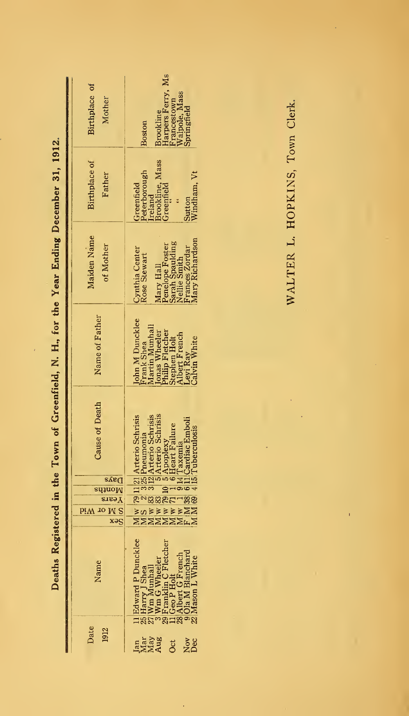| Birthplace of<br>Mother          | Brookline<br>Harpers Ferry, M<br>Francestown<br>Walpole, Mass<br>Springfield<br>soston                                                                         |
|----------------------------------|----------------------------------------------------------------------------------------------------------------------------------------------------------------|
| irthplace of<br>Father           | Brookline, Mass<br>Freenfield<br>eterborough<br>Sutton<br>Vindham, Vt<br>reland                                                                                |
| Maiden Name<br>of Mother         | Mary Hall<br>Penelope Foster<br>Sarah Spaulding<br>Nellie Smith<br>'ynthia Center<br>cose Stewart<br>rances Zordar<br>⁄lary Richards                           |
| Name of Father                   | ohn M Duncklee<br>'rank Shea<br>Aartin Munhal<br>Jonas Wheeler<br>Philip Fletcher<br>Stephen Holt<br>Albert French<br>Leyi Ray<br>Calvin W                     |
| <b>Cause of Death</b>            | Arterio Schrisis<br>Arterio Schrisis<br>Arterio Schrisis<br>25 Pneumonia<br>. Taxemia<br>1 Cardiac<br>Apoplex)<br>Heart Fa                                     |
| $\sqrt{\text{kg}}$<br>sų1uoM     |                                                                                                                                                                |
| деяі<br>$_{\rm 10}$<br>МS<br>xəş | ಜಿನಿ<br>₿                                                                                                                                                      |
| Name                             | 11 Geo P Holt<br>28 Albert G French<br>9 Ola M Blanchard<br>22 Mason L White<br>Wm G Wheele<br>I Edward P Du<br>5 Harry J Shea<br>7 Wm Munhail<br>Franklin C F |
| Date<br>1912                     | <b>Aar</b><br>Aar<br>Aug<br>Nov<br>Dec<br>$\cot$                                                                                                               |

Deaths Registered in the Town of Greenfield, N. H., for the Year Ending December 31, 1912.

WALTER L. HOPKINS, Town Clerk.